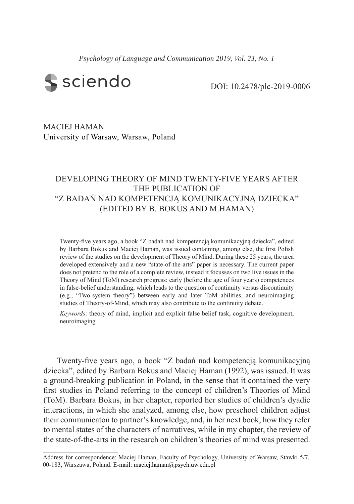*Psychology of Language and Communication 2019, Vol. 23, No. 1*



DOI: 10.2478/plc-2019-0006

MACIEJ HAMAN University of Warsaw, Warsaw, Poland

# DEVELOPING THEORY OF MIND TWENTY-FIVE YEARS AFTER THE PUBLICATION OF "Z BADAŃ NAD KOMPETENCJĄ KOMUNIKACYJNĄ DZIECKA" (EDITED BY B. BOKUS AND M.HAMAN)

Twenty-five years ago, a book "Z badań nad kompetencją komunikacyjną dziecka", edited by Barbara Bokus and Maciej Haman, was issued containing, among else, the first Polish review of the studies on the development of Theory of Mind. During these 25 years, the area developed extensively and a new "state-of-the-arts" paper is necessary. The current paper does not pretend to the role of a complete review, instead it focusses on two live issues in the Theory of Mind (ToM) research progress: early (before the age of four years) competences in false-belief understanding, which leads to the question of continuity versus discontinuity (e.g., "Two-system theory") between early and later ToM abilities, and neuroimaging studies of Theory-of-Mind, which may also contribute to the continuity debate.

*Keywords*: theory of mind, implicit and explicit false belief task, cognitive development, neuroimaging

Twenty-five years ago, a book "Z badań nad kompetencją komunikacyjną dziecka", edited by Barbara Bokus and Maciej Haman (1992), was issued. It was a ground-breaking publication in Poland, in the sense that it contained the very first studies in Poland referring to the concept of children's Theories of Mind (ToM). Barbara Bokus, in her chapter, reported her studies of children's dyadic interactions, in which she analyzed, among else, how preschool children adjust their communicaton to partner's knowledge, and, in her next book, how they refer to mental states of the characters of narratives, while in my chapter, the review of the state-of-the-arts in the research on children's theories of mind was presented.

Address for correspondence: Maciej Haman, Faculty of Psychology, University of Warsaw, Stawki 5/7, 00-183, Warszawa, Poland. E-mail: maciej.haman@psych.uw.edu.pl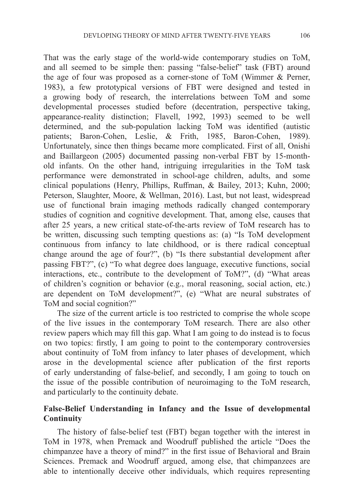That was the early stage of the world-wide contemporary studies on ToM, and all seemed to be simple then: passing "false-belief" task (FBT) around the age of four was proposed as a corner-stone of ToM (Wimmer & Perner, 1983), a few prototypical versions of FBT were designed and tested in a growing body of research, the interrelations between ToM and some developmental processes studied before (decentration, perspective taking, appearance-reality distinction; Flavell, 1992, 1993) seemed to be well determined, and the sub-population lacking ToM was identified (autistic patients; Baron-Cohen, Leslie, & Frith, 1985, Baron-Cohen, 1989). Unfortunately, since then things became more complicated. First of all, Onishi and Baillargeon (2005) documented passing non-verbal FBT by 15-monthold infants. On the other hand, intriguing irregularities in the ToM task performance were demonstrated in school-age children, adults, and some clinical populations (Henry, Phillips, Ruffman, & Bailey, 2013; Kuhn, 2000; Peterson, Slaughter, Moore, & Wellman, 2016). Last, but not least, widespread use of functional brain imaging methods radically changed contemporary studies of cognition and cognitive development. That, among else, causes that after 25 years, a new critical state-of-the-arts review of ToM research has to be written, discussing such tempting questions as: (a) "Is ToM development continuous from infancy to late childhood, or is there radical conceptual change around the age of four?", (b) "Is there substantial development after passing FBT?", (c) "To what degree does language, executive functions, social interactions, etc., contribute to the development of ToM?", (d) "What areas of children's cognition or behavior (e.g., moral reasoning, social action, etc.) are dependent on ToM development?", (e) "What are neural substrates of ToM and social cognition?"

The size of the current article is too restricted to comprise the whole scope of the live issues in the contemporary ToM research. There are also other review papers which may fill this gap. What I am going to do instead is to focus on two topics: firstly, I am going to point to the contemporary controversies about continuity of ToM from infancy to later phases of development, which arose in the developmental science after publication of the first reports of early understanding of false-belief, and secondly, I am going to touch on the issue of the possible contribution of neuroimaging to the ToM research, and particularly to the continuity debate.

### **False-Belief Understanding in Infancy and the Issue of developmental Continuity**

The history of false-belief test (FBT) began together with the interest in ToM in 1978, when Premack and Woodruff published the article "Does the chimpanzee have a theory of mind?" in the first issue of Behavioral and Brain Sciences. Premack and Woodruff argued, among else, that chimpanzees are able to intentionally deceive other individuals, which requires representing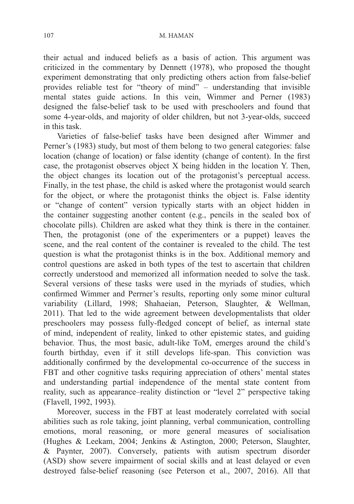#### 107 M. HAMAN

their actual and induced beliefs as a basis of action. This argument was criticized in the commentary by Dennett (1978), who proposed the thought experiment demonstrating that only predicting others action from false-belief provides reliable test for "theory of mind" – understanding that invisible mental states guide actions. In this vein, Wimmer and Perner (1983) designed the false-belief task to be used with preschoolers and found that some 4-year-olds, and majority of older children, but not 3-year-olds, succeed in this task.

Varieties of false-belief tasks have been designed after Wimmer and Perner's (1983) study, but most of them belong to two general categories: false location (change of location) or false identity (change of content). In the first case, the protagonist observes object X being hidden in the location Y. Then, the object changes its location out of the protagonist's perceptual access. Finally, in the test phase, the child is asked where the protagonist would search for the object, or where the protagonist thinks the object is. False identity or "change of content" version typically starts with an object hidden in the container suggesting another content (e.g., pencils in the sealed box of chocolate pills). Children are asked what they think is there in the container. Then, the protagonist (one of the experimenters or a puppet) leaves the scene, and the real content of the container is revealed to the child. The test question is what the protagonist thinks is in the box. Additional memory and control questions are asked in both types of the test to ascertain that children correctly understood and memorized all information needed to solve the task. Several versions of these tasks were used in the myriads of studies, which confirmed Wimmer and Perrner's results, reporting only some minor cultural variability (Lillard, 1998; Shahaeian, Peterson, Slaughter, & Wellman, 2011). That led to the wide agreement between developmentalists that older preschoolers may possess fully-fledged concept of belief, as internal state of mind, independent of reality, linked to other epistemic states, and guiding behavior. Thus, the most basic, adult-like ToM, emerges around the child's fourth birthday, even if it still develops life-span. This conviction was additionally confirmed by the developmental co-occurrence of the success in FBT and other cognitive tasks requiring appreciation of others' mental states and understanding partial independence of the mental state content from reality, such as appearance–reality distinction or "level 2" perspective taking (Flavell, 1992, 1993).

Moreover, success in the FBT at least moderately correlated with social abilities such as role taking, joint planning, verbal communication, controlling emotions, moral reasoning, or more general measures of socialisation (Hughes & Leekam, 2004; Jenkins & Astington, 2000; Peterson, Slaughter, & Paynter, 2007). Conversely, patients with autism spectrum disorder (ASD) show severe impairment of social skills and at least delayed or even destroyed false-belief reasoning (see Peterson et al., 2007, 2016). All that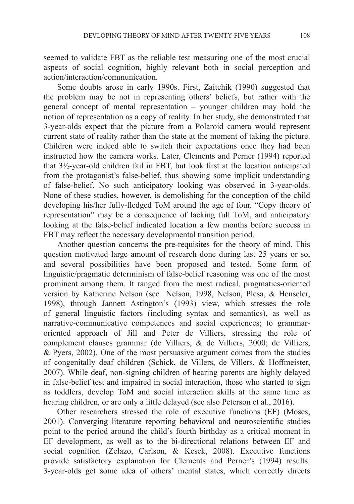seemed to validate FBT as the reliable test measuring one of the most crucial aspects of social cognition, highly relevant both in social perception and action/interaction/communication.

Some doubts arose in early 1990s. First, Zaitchik (1990) suggested that the problem may be not in representing others' beliefs, but rather with the general concept of mental representation – younger children may hold the notion of representation as a copy of reality. In her study, she demonstrated that 3-year-olds expect that the picture from a Polaroid camera would represent current state of reality rather than the state at the moment of taking the picture. Children were indeed able to switch their expectations once they had been instructed how the camera works. Later, Clements and Perner (1994) reported that 3½-year-old children fail in FBT, but look first at the location anticipated from the protagonist's false-belief, thus showing some implicit understanding of false-belief. No such anticipatory looking was observed in 3-year-olds. None of these studies, however, is demolishing for the conception of the child developing his/her fully-fledged ToM around the age of four. "Copy theory of representation" may be a consequence of lacking full ToM, and anticipatory looking at the false-belief indicated location a few months before success in FBT may reflect the necessary developmental transition period.

Another question concerns the pre-requisites for the theory of mind. This question motivated large amount of research done during last 25 years or so, and several possibilities have been proposed and tested. Some form of linguistic/pragmatic determinism of false-belief reasoning was one of the most prominent among them. It ranged from the most radical, pragmatics-oriented version by Katherine Nelson (see Nelson, 1998, Nelson, Plesa, & Henseler, 1998), through Jannett Astington's (1993) view, which stresses the role of general linguistic factors (including syntax and semantics), as well as narrative-communicative competences and social experiences; to grammaroriented approach of Jill and Peter de Villiers, stressing the role of complement clauses grammar (de Villiers, & de Villiers, 2000; de Villiers, & Pyers, 2002). One of the most persuasive argument comes from the studies of congenitally deaf children (Schick, de Villers, de Villers, & Hoffmeister, 2007). While deaf, non-signing children of hearing parents are highly delayed in false-belief test and impaired in social interaction, those who started to sign as toddlers, develop ToM and social interaction skills at the same time as hearing children, or are only a little delayed (see also Peterson et al., 2016).

Other researchers stressed the role of executive functions (EF) (Moses, 2001). Converging literature reporting behavioral and neuroscientific studies point to the period around the child's fourth birthday as a critical moment in EF development, as well as to the bi-directional relations between EF and social cognition (Zelazo, Carlson, & Kesek, 2008). Executive functions provide satisfactory explanation for Clements and Perner's (1994) results: 3-year-olds get some idea of others' mental states, which correctly directs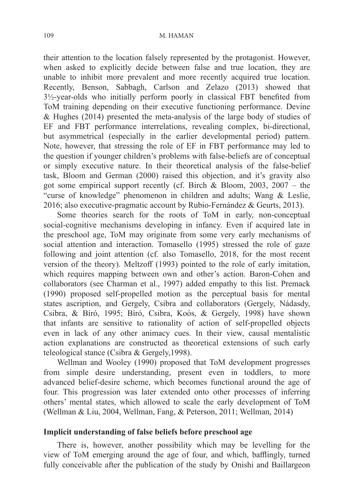#### 109 M. HAMAN

their attention to the location falsely represented by the protagonist. However, when asked to explicitly decide between false and true location, they are unable to inhibit more prevalent and more recently acquired true location. Recently, Benson, Sabbagh, Carlson and Zelazo (2013) showed that 3½-year-olds who initially perform poorly in classical FBT benefited from ToM training depending on their executive functioning performance. Devine & Hughes (2014) presented the meta-analysis of the large body of studies of EF and FBT performance interrelations, revealing complex, bi-directional, but asymmetrical (especially in the earlier developmental period) pattern. Note, however, that stressing the role of EF in FBT performance may led to the question if younger children's problems with false-beliefs are of conceptual or simply executive nature. In their theoretical analysis of the false-belief task, Bloom and German (2000) raised this objection, and it's gravity also got some empirical support recently (cf. Birch & Bloom, 2003, 2007 – the "curse of knowledge" phenomenon in children and adults; Wang & Leslie, 2016; also executive-pragmatic account by Rubio-Fernández & Geurts, 2013).

Some theories search for the roots of ToM in early, non-conceptual social-cognitive mechanisms developing in infancy. Even if acquired late in the preschool age, ToM may originate from some very early mechanisms of social attention and interaction. Tomasello (1995) stressed the role of gaze following and joint attention (cf. also Tomasello, 2018, for the most recent version of the theory). Meltzoff (1993) pointed to the role of early imitation, which requires mapping between own and other's action. Baron-Cohen and collaborators (see Charman et al., 1997) added empathy to this list. Premack (1990) proposed self-propelled motion as the perceptual basis for mental states ascription, and Gergely, Csibra and collaborators (Gergely, Nádasdy, Csibra, & Bíró, 1995; Bíró, Csibra, Koós, & Gergely, 1998) have shown that infants are sensitive to rationality of action of self-propelled objects even in lack of any other animacy cues. In their view, causal mentalistic action explanations are constructed as theoretical extensions of such early teleological stance (Csibra & Gergely,1998).

Wellman and Wooley (1990) proposed that ToM development progresses from simple desire understanding, present even in toddlers, to more advanced belief-desire scheme, which becomes functional around the age of four. This progression was later extended onto other processes of inferring others' mental states, which allowed to scale the early development of ToM (Wellman & Liu, 2004, Wellman, Fang, & Peterson, 2011; Wellman, 2014)

### **Implicit understanding of false beliefs before preschool age**

There is, however, another possibility which may be levelling for the view of ToM emerging around the age of four, and which, bafflingly, turned fully conceivable after the publication of the study by Onishi and Baillargeon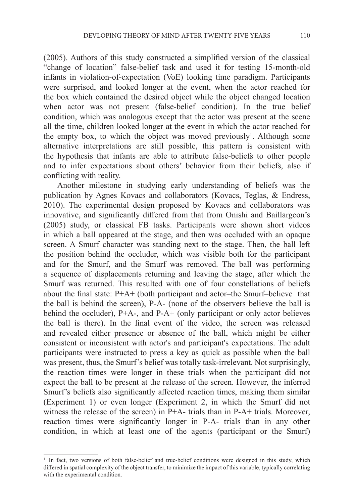(2005). Authors of this study constructed a simplified version of the classical "change of location" false-belief task and used it for testing 15-month-old infants in violation-of-expectation (VoE) looking time paradigm. Participants were surprised, and looked longer at the event, when the actor reached for the box which contained the desired object while the object changed location when actor was not present (false-belief condition). In the true belief condition, which was analogous except that the actor was present at the scene all the time, children looked longer at the event in which the actor reached for the empty box, to which the object was moved previously<sup>1</sup>. Although some alternative interpretations are still possible, this pattern is consistent with the hypothesis that infants are able to attribute false-beliefs to other people and to infer expectations about others' behavior from their beliefs, also if conflicting with reality.

Another milestone in studying early understanding of beliefs was the publication by Agnes Kovacs and collaborators (Kovacs, Teglas, & Endress, 2010). The experimental design proposed by Kovacs and collaborators was innovative, and significantly differed from that from Onishi and Baillargeon's (2005) study, or classical FB tasks. Participants were shown short videos in which a ball appeared at the stage, and then was occluded with an opaque screen. A Smurf character was standing next to the stage. Then, the ball left the position behind the occluder, which was visible both for the participant and for the Smurf, and the Smurf was removed. The ball was performing a sequence of displacements returning and leaving the stage, after which the Smurf was returned. This resulted with one of four constellations of beliefs about the final state:  $P+A+$  (both participant and actor–the Smurf–believe that the ball is behind the screen), P-A- (none of the observers believe the ball is behind the occluder),  $P+A-$ , and  $P-A+$  (only participant or only actor believes the ball is there). In the final event of the video, the screen was released and revealed either presence or absence of the ball, which might be either consistent or inconsistent with actor's and participant's expectations. The adult participants were instructed to press a key as quick as possible when the ball was present, thus, the Smurf's belief was totally task-irrelevant. Not surprisingly, the reaction times were longer in these trials when the participant did not expect the ball to be present at the release of the screen. However, the inferred Smurf's beliefs also significantly affected reaction times, making them similar (Experiment 1) or even longer (Experiment 2, in which the Smurf did not witness the release of the screen) in P+A- trials than in P-A+ trials. Moreover, reaction times were significantly longer in P-A- trials than in any other condition, in which at least one of the agents (participant or the Smurf)

<sup>&</sup>lt;sup>1</sup> In fact, two versions of both false-belief and true-belief conditions were designed in this study, which differed in spatial complexity of the object transfer, to minimize the impact of this variable, typically correlating with the experimental condition.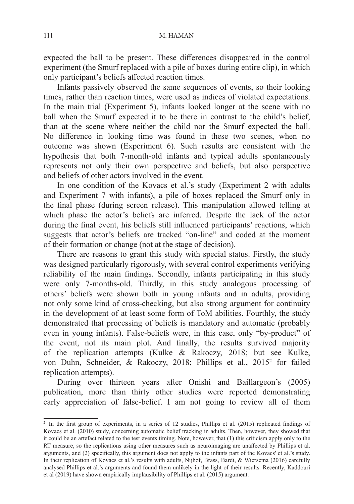expected the ball to be present. These differences disappeared in the control experiment (the Smurf replaced with a pile of boxes during entire clip), in which only participant's beliefs affected reaction times.

Infants passively observed the same sequences of events, so their looking times, rather than reaction times, were used as indices of violated expectations. In the main trial (Experiment 5), infants looked longer at the scene with no ball when the Smurf expected it to be there in contrast to the child's belief, than at the scene where neither the child nor the Smurf expected the ball. No difference in looking time was found in these two scenes, when no outcome was shown (Experiment 6). Such results are consistent with the hypothesis that both 7-month-old infants and typical adults spontaneously represents not only their own perspective and beliefs, but also perspective and beliefs of other actors involved in the event.

In one condition of the Kovacs et al.'s study (Experiment 2 with adults and Experiment 7 with infants), a pile of boxes replaced the Smurf only in the final phase (during screen release). This manipulation allowed telling at which phase the actor's beliefs are inferred. Despite the lack of the actor during the final event, his beliefs still influenced participants' reactions, which suggests that actor's beliefs are tracked "on-line" and coded at the moment of their formation or change (not at the stage of decision).

There are reasons to grant this study with special status. Firstly, the study was designed particularly rigorously, with several control experiments verifying reliability of the main findings. Secondly, infants participating in this study were only 7-months-old. Thirdly, in this study analogous processing of others' beliefs were shown both in young infants and in adults, providing not only some kind of cross-checking, but also strong argument for continuity in the development of at least some form of ToM abilities. Fourthly, the study demonstrated that processing of beliefs is mandatory and automatic (probably even in young infants). False-beliefs were, in this case, only "by-product" of the event, not its main plot. And finally, the results survived majority of the replication attempts (Kulke & Rakoczy, 2018; but see Kulke, von Duhn, Schneider, & Rakoczy, 2018; Phillips et al., 20152 for failed replication attempts).

During over thirteen years after Onishi and Baillargeon's (2005) publication, more than thirty other studies were reported demonstrating early appreciation of false-belief. I am not going to review all of them

<sup>2</sup> In the first group of experiments, in a series of 12 studies, Phillips et al. (2015) replicated findings of Kovacs et al. (2010) study, concerning automatic belief tracking in adults. Then, however, they showed that it could be an artefact related to the test events timing. Note, however, that (1) this criticism apply only to the RT measure, so the replications using other measures such as neuroimaging are unaffected by Phillips et al. arguments, and (2) specifically, this argument does not apply to the infants part of the Kovacs' et al.'s study. In their replication of Kovacs et al.'s results with adults, Nijhof, Brass, Bardi, & Wiersema (2016) carefully analysed Phillips et al.'s arguments and found them unlikely in the light of their results. Recently, Kaddouri et al (2019) have shown empirically implausibility of Phillips et al. (2015) argument.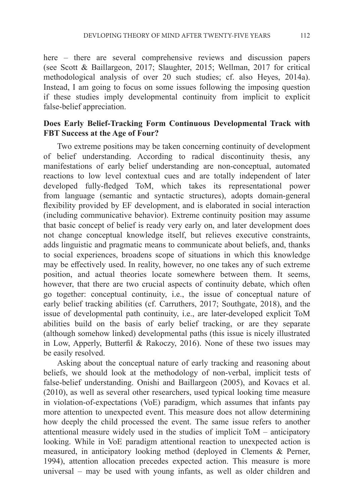here – there are several comprehensive reviews and discussion papers (see Scott & Baillargeon, 2017; Slaughter, 2015; Wellman, 2017 for critical methodological analysis of over 20 such studies; cf. also Heyes, 2014a). Instead, I am going to focus on some issues following the imposing question if these studies imply developmental continuity from implicit to explicit false-belief appreciation.

### **Does Early Belief-Tracking Form Continuous Developmental Track with FBT Success at the Age of Four?**

Two extreme positions may be taken concerning continuity of development of belief understanding. According to radical discontinuity thesis, any manifestations of early belief understanding are non-conceptual, automated reactions to low level contextual cues and are totally independent of later developed fully-fledged ToM, which takes its representational power from language (semantic and syntactic structures), adopts domain-general flexibility provided by EF development, and is elaborated in social interaction (including communicative behavior). Extreme continuity position may assume that basic concept of belief is ready very early on, and later development does not change conceptual knowledge itself, but relieves executive constraints, adds linguistic and pragmatic means to communicate about beliefs, and, thanks to social experiences, broadens scope of situations in which this knowledge may be effectively used. In reality, however, no one takes any of such extreme position, and actual theories locate somewhere between them. It seems, however, that there are two crucial aspects of continuity debate, which often go together: conceptual continuity, i.e., the issue of conceptual nature of early belief tracking abilities (cf. Carruthers, 2017; Southgate, 2018), and the issue of developmental path continuity, i.e., are later-developed explicit ToM abilities build on the basis of early belief tracking, or are they separate (although somehow linked) developmental paths (this issue is nicely illustrated in Low, Apperly, Butterfil & Rakoczy, 2016). None of these two issues may be easily resolved.

Asking about the conceptual nature of early tracking and reasoning about beliefs, we should look at the methodology of non-verbal, implicit tests of false-belief understanding. Onishi and Baillargeon (2005), and Kovacs et al. (2010), as well as several other researchers, used typical looking time measure in violation-of-expectations (VoE) paradigm, which assumes that infants pay more attention to unexpected event. This measure does not allow determining how deeply the child processed the event. The same issue refers to another attentional measure widely used in the studies of implicit ToM – anticipatory looking. While in VoE paradigm attentional reaction to unexpected action is measured, in anticipatory looking method (deployed in Clements & Perner, 1994), attention allocation precedes expected action. This measure is more universal – may be used with young infants, as well as older children and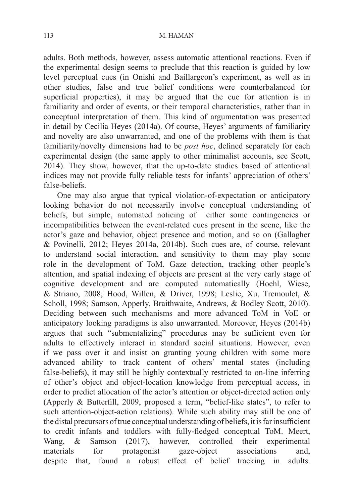adults. Both methods, however, assess automatic attentional reactions. Even if the experimental design seems to preclude that this reaction is guided by low level perceptual cues (in Onishi and Baillargeon's experiment, as well as in other studies, false and true belief conditions were counterbalanced for superficial properties), it may be argued that the cue for attention is in familiarity and order of events, or their temporal characteristics, rather than in conceptual interpretation of them. This kind of argumentation was presented in detail by Cecilia Heyes (2014a). Of course, Heyes' arguments of familiarity and novelty are also unwarranted, and one of the problems with them is that familiarity/novelty dimensions had to be *post hoc*, defined separately for each experimental design (the same apply to other minimalist accounts, see Scott, 2014). They show, however, that the up-to-date studies based of attentional indices may not provide fully reliable tests for infants' appreciation of others' false-beliefs.

One may also argue that typical violation-of-expectation or anticipatory looking behavior do not necessarily involve conceptual understanding of beliefs, but simple, automated noticing of either some contingencies or incompatibilities between the event-related cues present in the scene, like the actor's gaze and behavior, object presence and motion, and so on (Gallagher & Povinelli, 2012; Heyes 2014a, 2014b). Such cues are, of course, relevant to understand social interaction, and sensitivity to them may play some role in the development of ToM. Gaze detection, tracking other people's attention, and spatial indexing of objects are present at the very early stage of cognitive development and are computed automatically (Hoehl, Wiese, & Striano, 2008; Hood, Willen, & Driver, 1998; Leslie, Xu, Tremoulet, & Scholl, 1998; Samson, Apperly, Braithwaite, Andrews, & Bodley Scott, 2010). Deciding between such mechanisms and more advanced ToM in VoE or anticipatory looking paradigms is also unwarranted. Moreover, Heyes (2014b) argues that such "submentalizing" procedures may be sufficient even for adults to effectively interact in standard social situations. However, even if we pass over it and insist on granting young children with some more advanced ability to track content of others' mental states (including false-beliefs), it may still be highly contextually restricted to on-line inferring of other's object and object-location knowledge from perceptual access, in order to predict allocation of the actor's attention or object-directed action only (Apperly & Butterfill, 2009, proposed a term, "belief-like states", to refer to such attention-object-action relations). While such ability may still be one of the distal precursors of true conceptual understanding of beliefs, it is far insufficient to credit infants and toddlers with fully-fledged conceptual ToM. Meert, Wang, & Samson (2017), however, controlled their experimental materials for protagonist gaze-object associations and, despite that, found a robust effect of belief tracking in adults.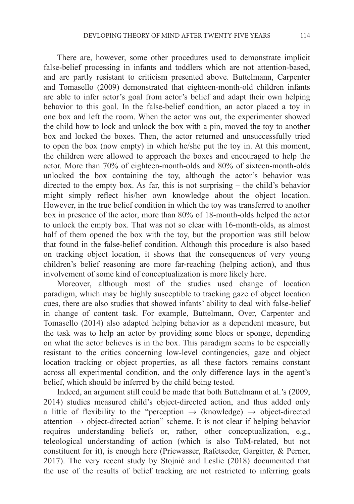There are, however, some other procedures used to demonstrate implicit false-belief processing in infants and toddlers which are not attention-based, and are partly resistant to criticism presented above. Buttelmann, Carpenter and Tomasello (2009) demonstrated that eighteen-month-old children infants are able to infer actor's goal from actor's belief and adapt their own helping behavior to this goal. In the false-belief condition, an actor placed a toy in one box and left the room. When the actor was out, the experimenter showed the child how to lock and unlock the box with a pin, moved the toy to another box and locked the boxes. Then, the actor returned and unsuccessfully tried to open the box (now empty) in which he/she put the toy in. At this moment, the children were allowed to approach the boxes and encouraged to help the actor. More than 70% of eighteen-month-olds and 80% of sixteen-month-olds unlocked the box containing the toy, although the actor's behavior was directed to the empty box. As far, this is not surprising – the child's behavior might simply reflect his/her own knowledge about the object location. However, in the true belief condition in which the toy was transferred to another box in presence of the actor, more than 80% of 18-month-olds helped the actor to unlock the empty box. That was not so clear with 16-month-olds, as almost half of them opened the box with the toy, but the proportion was still below that found in the false-belief condition. Although this procedure is also based on tracking object location, it shows that the consequences of very young children's belief reasoning are more far-reaching (helping action), and thus involvement of some kind of conceptualization is more likely here.

Moreover, although most of the studies used change of location paradigm, which may be highly susceptible to tracking gaze of object location cues, there are also studies that showed infants' ability to deal with false-belief in change of content task. For example, Buttelmann, Over, Carpenter and Tomasello (2014) also adapted helping behavior as a dependent measure, but the task was to help an actor by providing some blocs or sponge, depending on what the actor believes is in the box. This paradigm seems to be especially resistant to the critics concerning low-level contingencies, gaze and object location tracking or object properties, as all these factors remains constant across all experimental condition, and the only difference lays in the agent's belief, which should be inferred by the child being tested.

Indeed, an argument still could be made that both Buttelmann et al.'s (2009, 2014) studies measured child's object-directed action, and thus added only a little of flexibility to the "perception  $\rightarrow$  (knowledge)  $\rightarrow$  object-directed attention  $\rightarrow$  object-directed action" scheme. It is not clear if helping behavior requires understanding beliefs or, rather, other conceptualization, e.g., teleological understanding of action (which is also ToM-related, but not constituent for it), is enough here (Priewasser, Rafetseder, Gargitter, & Perner, 2017). The very recent study by Stojnić and Leslie (2018) documented that the use of the results of belief tracking are not restricted to inferring goals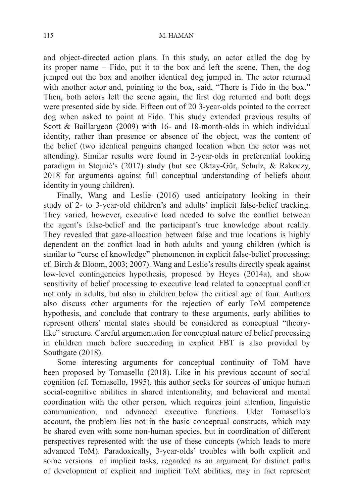and object-directed action plans. In this study, an actor called the dog by its proper name – Fido, put it to the box and left the scene. Then, the dog jumped out the box and another identical dog jumped in. The actor returned with another actor and, pointing to the box, said, "There is Fido in the box." Then, both actors left the scene again, the first dog returned and both dogs were presented side by side. Fifteen out of 20 3-year-olds pointed to the correct dog when asked to point at Fido. This study extended previous results of Scott & Baillargeon (2009) with 16- and 18-month-olds in which individual identity, rather than presence or absence of the object, was the content of the belief (two identical penguins changed location when the actor was not attending). Similar results were found in 2-year-olds in preferential looking paradigm in Stojnić's (2017) study (but see Oktay-Gür, Schulz, & Rakoczy, 2018 for arguments against full conceptual understanding of beliefs about identity in young children).

Finally, Wang and Leslie (2016) used anticipatory looking in their study of 2- to 3-year-old children's and adults' implicit false-belief tracking. They varied, however, executive load needed to solve the conflict between the agent's false-belief and the participant's true knowledge about reality. They revealed that gaze-allocation between false and true locations is highly dependent on the conflict load in both adults and young children (which is similar to "curse of knowledge" phenomenon in explicit false-belief processing; cf. Birch & Bloom, 2003; 2007). Wang and Leslie's results directly speak against low-level contingencies hypothesis, proposed by Heyes (2014a), and show sensitivity of belief processing to executive load related to conceptual conflict not only in adults, but also in children below the critical age of four. Authors also discuss other arguments for the rejection of early ToM competence hypothesis, and conclude that contrary to these arguments, early abilities to represent others' mental states should be considered as conceptual "theorylike" structure. Careful argumentation for conceptual nature of belief processing in children much before succeeding in explicit FBT is also provided by Southgate (2018).

Some interesting arguments for conceptual continuity of ToM have been proposed by Tomasello (2018). Like in his previous account of social cognition (cf. Tomasello, 1995), this author seeks for sources of unique human social-cognitive abilities in shared intentionality, and behavioral and mental coordination with the other person, which requires joint attention, linguistic communication, and advanced executive functions. Uder Tomasello's account, the problem lies not in the basic conceptual constructs, which may be shared even with some non-human species, but in coordination of different perspectives represented with the use of these concepts (which leads to more advanced ToM). Paradoxically, 3-year-olds' troubles with both explicit and some versions of implicit tasks, regarded as an argument for distinct paths of development of explicit and implicit ToM abilities, may in fact represent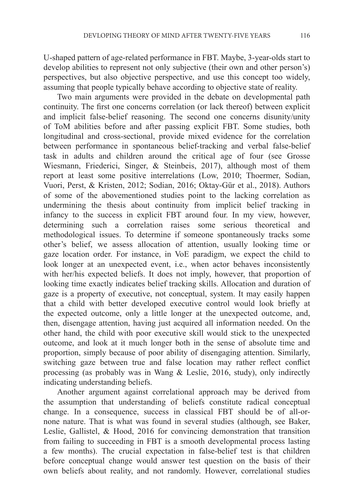U-shaped pattern of age-related performance in FBT. Maybe, 3-year-olds start to develop abilities to represent not only subjective (their own and other person's) perspectives, but also objective perspective, and use this concept too widely, assuming that people typically behave according to objective state of reality.

Two main arguments were provided in the debate on developmental path continuity. The first one concerns correlation (or lack thereof) between explicit and implicit false-belief reasoning. The second one concerns disunity/unity of ToM abilities before and after passing explicit FBT. Some studies, both longitudinal and cross-sectional, provide mixed evidence for the correlation between performance in spontaneous belief-tracking and verbal false-belief task in adults and children around the critical age of four (see Grosse Wiesmann, Friederici, Singer, & Steinbeis, 2017), although most of them report at least some positive interrelations (Low, 2010; Thoermer, Sodian, Vuori, Perst, & Kristen, 2012; Sodian, 2016; Oktay-Gür et al., 2018). Authors of some of the abovementioned studies point to the lacking correlation as undermining the thesis about continuity from implicit belief tracking in infancy to the success in explicit FBT around four. In my view, however, determining such a correlation raises some serious theoretical and methodological issues. To determine if someone spontaneously tracks some other's belief, we assess allocation of attention, usually looking time or gaze location order. For instance, in VoE paradigm, we expect the child to look longer at an unexpected event, i.e., when actor behaves inconsistently with her/his expected beliefs. It does not imply, however, that proportion of looking time exactly indicates belief tracking skills. Allocation and duration of gaze is a property of executive, not conceptual, system. It may easily happen that a child with better developed executive control would look briefly at the expected outcome, only a little longer at the unexpected outcome, and, then, disengage attention, having just acquired all information needed. On the other hand, the child with poor executive skill would stick to the unexpected outcome, and look at it much longer both in the sense of absolute time and proportion, simply because of poor ability of disengaging attention. Similarly, switching gaze between true and false location may rather reflect conflict processing (as probably was in Wang & Leslie, 2016, study), only indirectly indicating understanding beliefs.

Another argument against correlational approach may be derived from the assumption that understanding of beliefs constitute radical conceptual change. In a consequence, success in classical FBT should be of all-ornone nature. That is what was found in several studies (although, see Baker, Leslie, Gallistel, & Hood, 2016 for convincing demonstration that transition from failing to succeeding in FBT is a smooth developmental process lasting a few months). The crucial expectation in false-belief test is that children before conceptual change would answer test question on the basis of their own beliefs about reality, and not randomly. However, correlational studies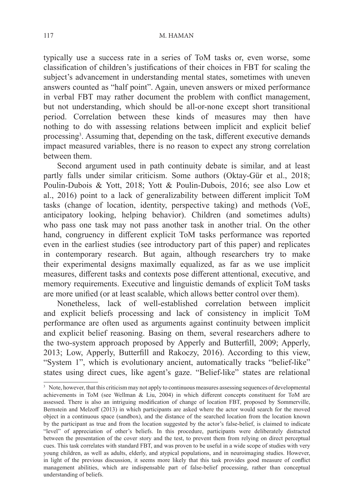#### 117 M. HAMAN

typically use a success rate in a series of ToM tasks or, even worse, some classification of children's justifications of their choices in FBT for scaling the subject's advancement in understanding mental states, sometimes with uneven answers counted as "half point". Again, uneven answers or mixed performance in verbal FBT may rather document the problem with conflict management, but not understanding, which should be all-or-none except short transitional period. Correlation between these kinds of measures may then have nothing to do with assessing relations between implicit and explicit belief processing<sup>3</sup>. Assuming that, depending on the task, different executive demands impact measured variables, there is no reason to expect any strong correlation between them.

Second argument used in path continuity debate is similar, and at least partly falls under similar criticism. Some authors (Oktay-Gür et al., 2018; Poulin-Dubois & Yott, 2018; Yott & Poulin-Dubois, 2016; see also Low et al., 2016) point to a lack of generalizability between different implicit ToM tasks (change of location, identity, perspective taking) and methods (VoE, anticipatory looking, helping behavior). Children (and sometimes adults) who pass one task may not pass another task in another trial. On the other hand, congruency in different explicit ToM tasks performance was reported even in the earliest studies (see introductory part of this paper) and replicates in contemporary research. But again, although researchers try to make their experimental designs maximally equalized, as far as we use implicit measures, different tasks and contexts pose different attentional, executive, and memory requirements. Executive and linguistic demands of explicit ToM tasks are more unified (or at least scalable, which allows better control over them).

Nonetheless, lack of well-established correlation between implicit and explicit beliefs processing and lack of consistency in implicit ToM performance are often used as arguments against continuity between implicit and explicit belief reasoning. Basing on them, several researchers adhere to the two-system approach proposed by Apperly and Butterfill, 2009; Apperly, 2013; Low, Apperly, Butterfill and Rakoczy, 2016). According to this view, "System 1", which is evolutionary ancient, automatically tracks "belief-like" states using direct cues, like agent's gaze. "Belief-like" states are relational

<sup>&</sup>lt;sup>3</sup> Note, however, that this criticism may not apply to continuous measures assessing sequences of developmental achievements in ToM (see Wellman & Liu, 2004) in which different concepts constituent for ToM are assessed. There is also an intriguing modification of change of location FBT, proposed by Sommerville, Bernstein and Melzoff (2013) in which participants are asked where the actor would search for the moved object in a continuous space (sandbox), and the distance of the searched location from the location known by the participant as true and from the location suggested by the actor's false-belief, is claimed to indicate "level" of appreciation of other's beliefs. In this procedure, participants were deliberately distracted between the presentation of the cover story and the test, to prevent them from relying on direct perceptual cues. This task correlates with standard FBT, and was proven to be useful in a wide scope of studies with very young children, as well as adults, elderly, and atypical populations, and in neuroimaging studies. However, in light of the previous discussion, it seems more likely that this task provides good measure of conflict management abilities, which are indispensable part of false-belief processing, rather than conceptual understanding of beliefs.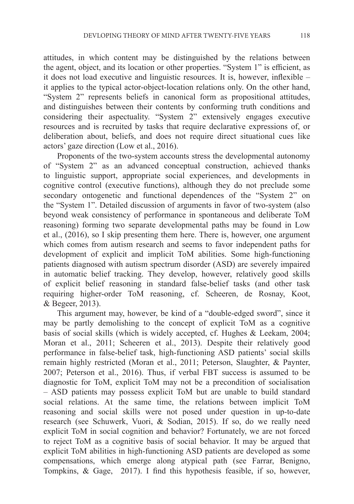attitudes, in which content may be distinguished by the relations between the agent, object, and its location or other properties. "System 1" is efficient, as it does not load executive and linguistic resources. It is, however, inflexible – it applies to the typical actor-object-location relations only. On the other hand, "System 2" represents beliefs in canonical form as propositional attitudes, and distinguishes between their contents by conforming truth conditions and considering their aspectuality. "System 2" extensively engages executive resources and is recruited by tasks that require declarative expressions of, or deliberation about, beliefs, and does not require direct situational cues like actors' gaze direction (Low et al., 2016).

Proponents of the two-system accounts stress the developmental autonomy of "System 2" as an advanced conceptual construction, achieved thanks to linguistic support, appropriate social experiences, and developments in cognitive control (executive functions), although they do not preclude some secondary ontogenetic and functional dependences of the "System 2" on the "System 1". Detailed discussion of arguments in favor of two-system (also beyond weak consistency of performance in spontaneous and deliberate ToM reasoning) forming two separate developmental paths may be found in Low et al., (2016), so I skip presenting them here. There is, however, one argument which comes from autism research and seems to favor independent paths for development of explicit and implicit ToM abilities. Some high-functioning patients diagnosed with autism spectrum disorder (ASD) are severely impaired in automatic belief tracking. They develop, however, relatively good skills of explicit belief reasoning in standard false-belief tasks (and other task requiring higher-order ToM reasoning, cf. Scheeren, de Rosnay, Koot, & Begeer, 2013).

This argument may, however, be kind of a "double-edged sword", since it may be partly demolishing to the concept of explicit ToM as a cognitive basis of social skills (which is widely accepted, cf. Hughes & Leekam, 2004; Moran et al., 2011; Scheeren et al., 2013). Despite their relatively good performance in false-belief task, high-functioning ASD patients' social skills remain highly restricted (Moran et al., 2011; Peterson, Slaughter, & Paynter, 2007; Peterson et al., 2016). Thus, if verbal FBT success is assumed to be diagnostic for ToM, explicit ToM may not be a precondition of socialisation – ASD patients may possess explicit ToM but are unable to build standard social relations. At the same time, the relations between implicit ToM reasoning and social skills were not posed under question in up-to-date research (see Schuwerk, Vuori, & Sodian, 2015). If so, do we really need explicit ToM in social cognition and behavior? Fortunately, we are not forced to reject ToM as a cognitive basis of social behavior. It may be argued that explicit ToM abilities in high-functioning ASD patients are developed as some compensations, which emerge along atypical path (see Farrar, Benigno, Tompkins, & Gage, 2017). I find this hypothesis feasible, if so, however,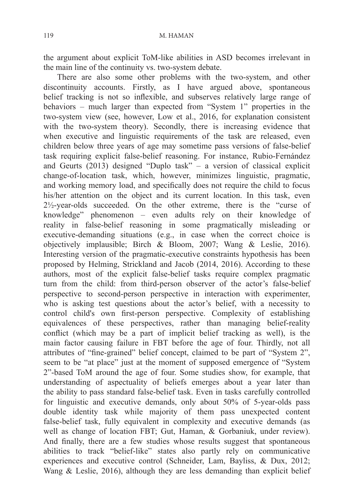the argument about explicit ToM-like abilities in ASD becomes irrelevant in the main line of the continuity vs. two-system debate.

There are also some other problems with the two-system, and other discontinuity accounts. Firstly, as I have argued above, spontaneous belief tracking is not so inflexible, and subserves relatively large range of behaviors – much larger than expected from "System 1" properties in the two-system view (see, however, Low et al., 2016, for explanation consistent with the two-system theory). Secondly, there is increasing evidence that when executive and linguistic requirements of the task are released, even children below three years of age may sometime pass versions of false-belief task requiring explicit false-belief reasoning. For instance, Rubio-Fernández and Geurts (2013) designed "Duplo task" – a version of classical explicit change-of-location task, which, however, minimizes linguistic, pragmatic, and working memory load, and specifically does not require the child to focus his/her attention on the object and its current location. In this task, even  $2\frac{1}{2}$ -year-olds succeeded. On the other extreme, there is the "curse of knowledge" phenomenon – even adults rely on their knowledge of reality in false-belief reasoning in some pragmatically misleading or executive-demanding situations (e.g., in case when the correct choice is objectively implausible; Birch & Bloom, 2007; Wang & Leslie, 2016). Interesting version of the pragmatic-executive constraints hypothesis has been proposed by Helming, Strickland and Jacob (2014, 2016). According to these authors, most of the explicit false-belief tasks require complex pragmatic turn from the child: from third-person observer of the actor's false-belief perspective to second-person perspective in interaction with experimenter, who is asking test questions about the actor's belief, with a necessity to control child's own first-person perspective. Complexity of establishing equivalences of these perspectives, rather than managing belief-reality conflict (which may be a part of implicit belief tracking as well), is the main factor causing failure in FBT before the age of four. Thirdly, not all attributes of "fine-grained" belief concept, claimed to be part of "System 2", seem to be "at place" just at the moment of supposed emergence of "System 2"-based ToM around the age of four. Some studies show, for example, that understanding of aspectuality of beliefs emerges about a year later than the ability to pass standard false-belief task. Even in tasks carefully controlled for linguistic and executive demands, only about 50% of 5-year-olds pass double identity task while majority of them pass unexpected content false-belief task, fully equivalent in complexity and executive demands (as well as change of location FBT; Gut, Haman, & Gorbaniuk, under review). And finally, there are a few studies whose results suggest that spontaneous abilities to track "belief-like" states also partly rely on communicative experiences and executive control (Schneider, Lam, Bayliss, & Dux, 2012; Wang & Leslie, 2016), although they are less demanding than explicit belief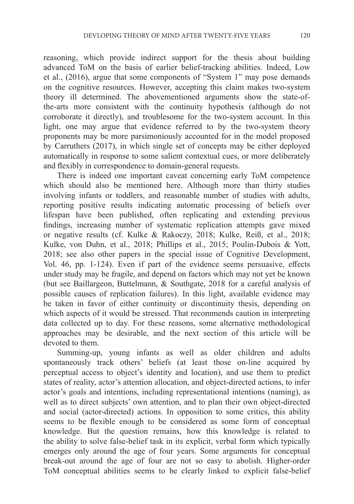reasoning, which provide indirect support for the thesis about building advanced ToM on the basis of earlier belief-tracking abilities. Indeed, Low et al., (2016), argue that some components of "System 1" may pose demands on the cognitive resources. However, accepting this claim makes two-system theory ill determined. The abovementioned arguments show the state-ofthe-arts more consistent with the continuity hypothesis (although do not corroborate it directly), and troublesome for the two-system account. In this light, one may argue that evidence referred to by the two-system theory proponents may be more parsimoniously accounted for in the model proposed by Carruthers (2017), in which single set of concepts may be either deployed automatically in response to some salient contextual cues, or more deliberately and flexibly in correspondence to domain-general requests.

There is indeed one important caveat concerning early ToM competence which should also be mentioned here. Although more than thirty studies involving infants or toddlers, and reasonable number of studies with adults, reporting positive results indicating automatic processing of beliefs over lifespan have been published, often replicating and extending previous findings, increasing number of systematic replication attempts gave mixed or negative results (cf. Kulke & Rakoczy, 2018; Kulke, Reiß, et al., 2018; Kulke, von Duhn, et al., 2018; Phillips et al., 2015; Poulin-Dubois & Yott, 2018; see also other papers in the special issue of Cognitive Development, Vol. 46, pp. 1-124). Even if part of the evidence seems persuasive, effects under study may be fragile, and depend on factors which may not yet be known (but see Baillargeon, Buttelmann, & Southgate, 2018 for a careful analysis of possible causes of replication failures). In this light, available evidence may be taken in favor of either continuity or discontinuity thesis, depending on which aspects of it would be stressed. That recommends caution in interpreting data collected up to day. For these reasons, some alternative methodological approaches may be desirable, and the next section of this article will be devoted to them.

Summing-up, young infants as well as older children and adults spontaneously track others' beliefs (at least those on-line acquired by perceptual access to object's identity and location), and use them to predict states of reality, actor's attention allocation, and object-directed actions, to infer actor's goals and intentions, including representational intentions (naming), as well as to direct subjects' own attention, and to plan their own object-directed and social (actor-directed) actions. In opposition to some critics, this ability seems to be flexible enough to be considered as some form of conceptual knowledge. But the question remains, how this knowledge is related to the ability to solve false-belief task in its explicit, verbal form which typically emerges only around the age of four years. Some arguments for conceptual break-out around the age of four are not so easy to abolish. Higher-order ToM conceptual abilities seems to be clearly linked to explicit false-belief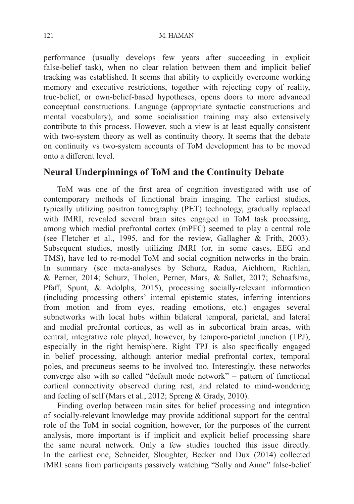performance (usually develops few years after succeeding in explicit false-belief task), when no clear relation between them and implicit belief tracking was established. It seems that ability to explicitly overcome working memory and executive restrictions, together with rejecting copy of reality, true-belief, or own-belief-based hypotheses, opens doors to more advanced conceptual constructions. Language (appropriate syntactic constructions and mental vocabulary), and some socialisation training may also extensively contribute to this process. However, such a view is at least equally consistent with two-system theory as well as continuity theory. It seems that the debate on continuity vs two-system accounts of ToM development has to be moved onto a different level.

# **Neural Underpinnings of ToM and the Continuity Debate**

ToM was one of the first area of cognition investigated with use of contemporary methods of functional brain imaging. The earliest studies, typically utilizing positron tomography (PET) technology, gradually replaced with fMRI, revealed several brain sites engaged in ToM task processing, among which medial prefrontal cortex (mPFC) seemed to play a central role (see Fletcher et al., 1995, and for the review, Gallagher & Frith, 2003). Subsequent studies, mostly utilizing fMRI (or, in some cases, EEG and TMS), have led to re-model ToM and social cognition networks in the brain. In summary (see meta-analyses by Schurz, Radua, Aichhorn, Richlan, & Perner, 2014; Schurz, Tholen, Perner, Mars, & Sallet, 2017; Schaafsma, Pfaff, Spunt, & Adolphs, 2015), processing socially-relevant information (including processing others' internal epistemic states, inferring intentions from motion and from eyes, reading emotions, etc.) engages several subnetworks with local hubs within bilateral temporal, parietal, and lateral and medial prefrontal cortices, as well as in subcortical brain areas, with central, integrative role played, however, by temporo-parietal junction (TPJ), especially in the right hemisphere. Right TPJ is also specifically engaged in belief processing, although anterior medial prefrontal cortex, temporal poles, and precuneus seems to be involved too. Interestingly, these networks converge also with so called "default mode network" – pattern of functional cortical connectivity observed during rest, and related to mind-wondering and feeling of self (Mars et al., 2012; Spreng & Grady, 2010).

Finding overlap between main sites for belief processing and integration of socially-relevant knowledge may provide additional support for the central role of the ToM in social cognition, however, for the purposes of the current analysis, more important is if implicit and explicit belief processing share the same neural network. Only a few studies touched this issue directly. In the earliest one, Schneider, Sloughter, Becker and Dux (2014) collected fMRI scans from participants passively watching "Sally and Anne" false-belief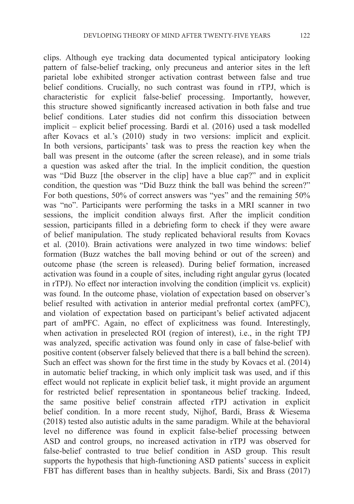clips. Although eye tracking data documented typical anticipatory looking pattern of false-belief tracking, only precuneus and anterior sites in the left parietal lobe exhibited stronger activation contrast between false and true belief conditions. Crucially, no such contrast was found in rTPJ, which is characteristic for explicit false-belief processing. Importantly, however, this structure showed significantly increased activation in both false and true belief conditions. Later studies did not confirm this dissociation between implicit – explicit belief processing. Bardi et al. (2016) used a task modelled after Kovacs et al.'s (2010) study in two versions: implicit and explicit. In both versions, participants' task was to press the reaction key when the ball was present in the outcome (after the screen release), and in some trials a question was asked after the trial. In the implicit condition, the question was "Did Buzz [the observer in the clip] have a blue cap?" and in explicit condition, the question was "Did Buzz think the ball was behind the screen?" For both questions, 50% of correct answers was "yes" and the remaining 50% was "no". Participants were performing the tasks in a MRI scanner in two sessions, the implicit condition always first. After the implicit condition session, participants filled in a debriefing form to check if they were aware of belief manipulation. The study replicated behavioral results from Kovacs et al. (2010). Brain activations were analyzed in two time windows: belief formation (Buzz watches the ball moving behind or out of the screen) and outcome phase (the screen is released). During belief formation, increased activation was found in a couple of sites, including right angular gyrus (located in rTPJ). No effect nor interaction involving the condition (implicit vs. explicit) was found. In the outcome phase, violation of expectation based on observer's belief resulted with activation in anterior medial prefrontal cortex (amPFC), and violation of expectation based on participant's belief activated adjacent part of amPFC. Again, no effect of explicitness was found. Interestingly, when activation in preselected ROI (region of interest), i.e., in the right TPJ was analyzed, specific activation was found only in case of false-belief with positive content (observer falsely believed that there is a ball behind the screen). Such an effect was shown for the first time in the study by Kovacs et al. (2014) in automatic belief tracking, in which only implicit task was used, and if this effect would not replicate in explicit belief task, it might provide an argument for restricted belief representation in spontaneous belief tracking. Indeed, the same positive belief constrain affected rTPJ activation in explicit belief condition. In a more recent study, Nijhof, Bardi, Brass & Wiesema (2018) tested also autistic adults in the same paradigm. While at the behavioral level no difference was found in explicit false-belief processing between ASD and control groups, no increased activation in rTPJ was observed for false-belief contrasted to true belief condition in ASD group. This result supports the hypothesis that high-functioning ASD patients' success in explicit FBT has different bases than in healthy subjects. Bardi, Six and Brass (2017)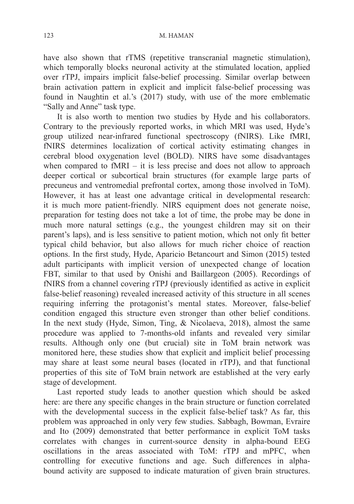have also shown that rTMS (repetitive transcranial magnetic stimulation), which temporally blocks neuronal activity at the stimulated location, applied over rTPJ, impairs implicit false-belief processing. Similar overlap between brain activation pattern in explicit and implicit false-belief processing was found in Naughtin et al.'s (2017) study, with use of the more emblematic "Sally and Anne" task type.

It is also worth to mention two studies by Hyde and his collaborators. Contrary to the previously reported works, in which MRI was used, Hyde's group utilized near-infrared functional spectroscopy (fNIRS). Like fMRI, fNIRS determines localization of cortical activity estimating changes in cerebral blood oxygenation level (BOLD). NIRS have some disadvantages when compared to  $fMRI - it$  is less precise and does not allow to approach deeper cortical or subcortical brain structures (for example large parts of precuneus and ventromedial prefrontal cortex, among those involved in ToM). However, it has at least one advantage critical in developmental research: it is much more patient-friendly. NIRS equipment does not generate noise, preparation for testing does not take a lot of time, the probe may be done in much more natural settings (e.g., the youngest children may sit on their parent's laps), and is less sensitive to patient motion, which not only fit better typical child behavior, but also allows for much richer choice of reaction options. In the first study, Hyde, Aparicio Betancourt and Simon (2015) tested adult participants with implicit version of unexpected change of location FBT, similar to that used by Onishi and Baillargeon (2005). Recordings of fNIRS from a channel covering rTPJ (previously identified as active in explicit false-belief reasoning) revealed increased activity of this structure in all scenes requiring inferring the protagonist's mental states. Moreover, false-belief condition engaged this structure even stronger than other belief conditions. In the next study (Hyde, Simon, Ting, & Nicolaeva, 2018), almost the same procedure was applied to 7-months-old infants and revealed very similar results. Although only one (but crucial) site in ToM brain network was monitored here, these studies show that explicit and implicit belief processing may share at least some neural bases (located in rTPJ), and that functional properties of this site of ToM brain network are established at the very early stage of development.

Last reported study leads to another question which should be asked here: are there any specific changes in the brain structure or function correlated with the developmental success in the explicit false-belief task? As far, this problem was approached in only very few studies. Sabbagh, Bowman, Evraire and Ito (2009) demonstrated that better performance in explicit ToM tasks correlates with changes in current-source density in alpha-bound EEG oscillations in the areas associated with ToM: rTPJ and mPFC, when controlling for executive functions and age. Such differences in alphabound activity are supposed to indicate maturation of given brain structures.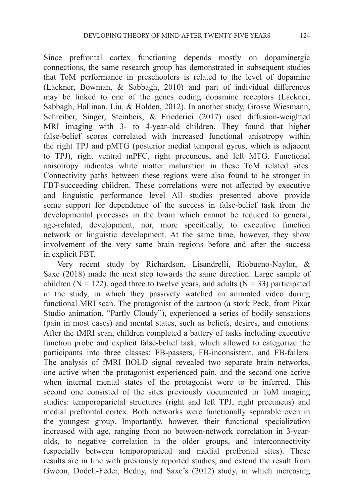Since prefrontal cortex functioning depends mostly on dopaminergic connections, the same research group has demonstrated in subsequent studies that ToM performance in preschoolers is related to the level of dopamine (Lackner, Bowman, & Sabbagh, 2010) and part of individual differences may be linked to one of the genes coding dopamine receptors (Lackner, Sabbagh, Hallinan, Liu, & Holden, 2012). In another study, Grosse Wiesmann, Schreiber, Singer, Steinbeis, & Friederici (2017) used diffusion-weighted MRI imaging with 3- to 4-year-old children. They found that higher false-belief scores correlated with increased functional anisotropy within the right TPJ and pMTG (posterior medial temporal gyrus, which is adjacent to TPJ), right ventral mPFC, right precuneus, and left MTG. Functional anisotropy indicates white matter maturation in these ToM related sites. Connectivity paths between these regions were also found to be stronger in FBT-succeeding children. These correlations were not affected by executive and linguistic performance level All studies presented above provide some support for dependence of the success in false-belief task from the developmental processes in the brain which cannot be reduced to general, age-related, development, nor, more specifically, to executive function network or linguistic development. At the same time, however, they show involvement of the very same brain regions before and after the success in explicit FBT.

Very recent study by Richardson, Lisandrelli, Riobueno-Naylor, & Saxe (2018) made the next step towards the same direction. Large sample of children ( $N = 122$ ), aged three to twelve years, and adults ( $N = 33$ ) participated in the study, in which they passively watched an animated video during functional MRI scan. The protagonist of the cartoon (a stork Peck, from Pixar Studio animation, "Partly Cloudy"), experienced a series of bodily sensations (pain in most cases) and mental states, such as beliefs, desires, and emotions. After the fMRI scan, children completed a battery of tasks including executive function probe and explicit false-belief task, which allowed to categorize the participants into three classes: FB-passers, FB-inconsistent, and FB-failers. The analysis of fMRI BOLD signal revealed two separate brain networks, one active when the protagonist experienced pain, and the second one active when internal mental states of the protagonist were to be inferred. This second one consisted of the sites previously documented in ToM imaging studies: temporoparietal structures (right and left TPJ, right precuneus) and medial prefrontal cortex. Both networks were functionally separable even in the youngest group. Importantly, however, their functional specialization increased with age, ranging from no between-network correlation in 3-yearolds, to negative correlation in the older groups, and interconnectivity (especially between temporoparietal and medial prefrontal sites). These results are in line with previously reported studies, and extend the result from Gweon, Dodell-Feder, Bedny, and Saxe's (2012) study, in which increasing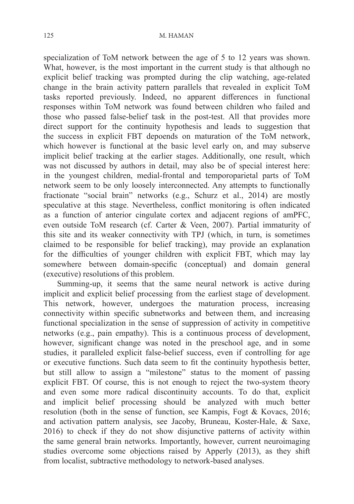specialization of ToM network between the age of 5 to 12 years was shown. What, however, is the most important in the current study is that although no explicit belief tracking was prompted during the clip watching, age-related change in the brain activity pattern parallels that revealed in explicit ToM tasks reported previously. Indeed, no apparent differences in functional responses within ToM network was found between children who failed and those who passed false-belief task in the post-test. All that provides more direct support for the continuity hypothesis and leads to suggestion that the success in explicit FBT depoends on maturation of the ToM network, which however is functional at the basic level early on, and may subserve implicit belief tracking at the earlier stages. Additionally, one result, which was not discussed by authors in detail, may also be of special interest here: in the youngest children, medial-frontal and temporoparietal parts of ToM network seem to be only loosely interconnected. Any attempts to functionally fractionate "social brain" networks (e.g., Schurz et al., 2014) are mostly speculative at this stage. Nevertheless, conflict monitoring is often indicated as a function of anterior cingulate cortex and adjacent regions of amPFC, even outside ToM research (cf. Carter & Veen, 2007). Partial immaturity of this site and its weaker connectivity with TPJ (which, in turn, is sometimes claimed to be responsible for belief tracking), may provide an explanation for the difficulties of younger children with explicit FBT, which may lay somewhere between domain-specific (conceptual) and domain general (executive) resolutions of this problem.

Summing-up, it seems that the same neural network is active during implicit and explicit belief processing from the earliest stage of development. This network, however, undergoes the maturation process, increasing connectivity within specific subnetworks and between them, and increasing functional specialization in the sense of suppression of activity in competitive networks (e.g., pain empathy). This is a continuous process of development, however, significant change was noted in the preschool age, and in some studies, it paralleled explicit false-belief success, even if controlling for age or executive functions. Such data seem to fit the continuity hypothesis better, but still allow to assign a "milestone" status to the moment of passing explicit FBT. Of course, this is not enough to reject the two-system theory and even some more radical discontinuity accounts. To do that, explicit and implicit belief processing should be analyzed with much better resolution (both in the sense of function, see Kampis, Fogt & Kovacs, 2016; and activation pattern analysis, see Jacoby, Bruneau, Koster-Hale, & Saxe, 2016) to check if they do not show disjunctive patterns of activity within the same general brain networks. Importantly, however, current neuroimaging studies overcome some objections raised by Apperly (2013), as they shift from localist, subtractive methodology to network-based analyses.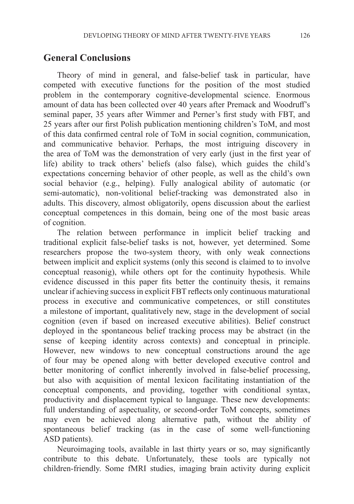### **General Conclusions**

Theory of mind in general, and false-belief task in particular, have competed with executive functions for the position of the most studied problem in the contemporary cognitive-developmental science. Enormous amount of data has been collected over 40 years after Premack and Woodruff's seminal paper, 35 years after Wimmer and Perner's first study with FBT, and 25 years after our first Polish publication mentioning children's ToM, and most of this data confirmed central role of ToM in social cognition, communication, and communicative behavior. Perhaps, the most intriguing discovery in the area of ToM was the demonstration of very early (just in the first year of life) ability to track others' beliefs (also false), which guides the child's expectations concerning behavior of other people, as well as the child's own social behavior (e.g., helping). Fully analogical ability of automatic (or semi-automatic), non-volitional belief-tracking was demonstrated also in adults. This discovery, almost obligatorily, opens discussion about the earliest conceptual competences in this domain, being one of the most basic areas of cognition.

The relation between performance in implicit belief tracking and traditional explicit false-belief tasks is not, however, yet determined. Some researchers propose the two-system theory, with only weak connections between implicit and explicit systems (only this second is claimed to to involve conceptual reasonig), while others opt for the continuity hypothesis. While evidence discussed in this paper fits better the continuity thesis, it remains unclear if achieving success in explicit FBT reflects only continuous maturational process in executive and communicative competences, or still constitutes a milestone of important, qualitatively new, stage in the development of social cognition (even if based on increased executive abilities). Belief construct deployed in the spontaneous belief tracking process may be abstract (in the sense of keeping identity across contexts) and conceptual in principle. However, new windows to new conceptual constructions around the age of four may be opened along with better developed executive control and better monitoring of conflict inherently involved in false-belief processing, but also with acquisition of mental lexicon facilitating instantiation of the conceptual components, and providing, together with conditional syntax, productivity and displacement typical to language. These new developments: full understanding of aspectuality, or second-order ToM concepts, sometimes may even be achieved along alternative path, without the ability of spontaneous belief tracking (as in the case of some well-functioning ASD patients).

Neuroimaging tools, available in last thirty years or so, may significantly contribute to this debate. Unfortunately, these tools are typically not children-friendly. Some fMRI studies, imaging brain activity during explicit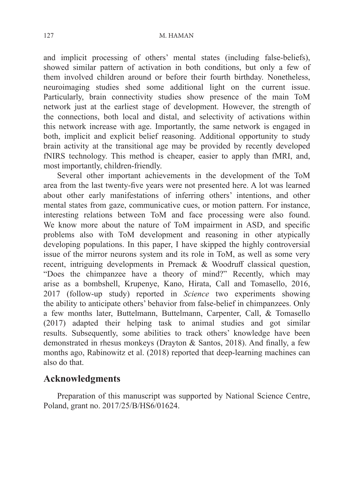#### 127 M. HAMAN

and implicit processing of others' mental states (including false-beliefs), showed similar pattern of activation in both conditions, but only a few of them involved children around or before their fourth birthday. Nonetheless, neuroimaging studies shed some additional light on the current issue. Particularly, brain connectivity studies show presence of the main ToM network just at the earliest stage of development. However, the strength of the connections, both local and distal, and selectivity of activations within this network increase with age. Importantly, the same network is engaged in both, implicit and explicit belief reasoning. Additional opportunity to study brain activity at the transitional age may be provided by recently developed fNIRS technology. This method is cheaper, easier to apply than fMRI, and, most importantly, children-friendly.

Several other important achievements in the development of the ToM area from the last twenty-five years were not presented here. A lot was learned about other early manifestations of inferring others' intentions, and other mental states from gaze, communicative cues, or motion pattern. For instance, interesting relations between ToM and face processing were also found. We know more about the nature of ToM impairment in ASD, and specific problems also with ToM development and reasoning in other atypically developing populations. In this paper, I have skipped the highly controversial issue of the mirror neurons system and its role in ToM, as well as some very recent, intriguing developments in Premack & Woodruff classical question, "Does the chimpanzee have a theory of mind?" Recently, which may arise as a bombshell, Krupenye, Kano, Hirata, Call and Tomasello, 2016, 2017 (follow-up study) reported in *Science* two experiments showing the ability to anticipate others' behavior from false-belief in chimpanzees. Only a few months later, Buttelmann, Buttelmann, Carpenter, Call, & Tomasello (2017) adapted their helping task to animal studies and got similar results. Subsequently, some abilities to track others' knowledge have been demonstrated in rhesus monkeys (Drayton & Santos, 2018). And finally, a few months ago, Rabinowitz et al. (2018) reported that deep-learning machines can also do that.

# **Acknowledgments**

Preparation of this manuscript was supported by National Science Centre, Poland, grant no. 2017/25/B/HS6/01624.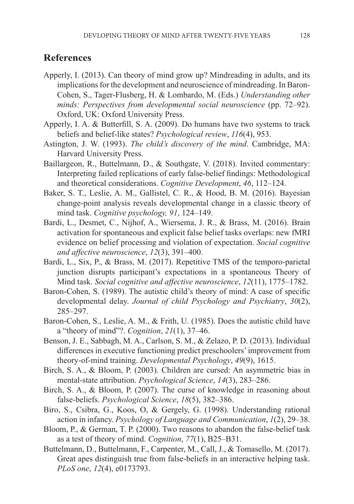## **References**

- Apperly, I. (2013). Can theory of mind grow up? Mindreading in adults, and its implications for the development and neuroscience of mindreading. In Baron-Cohen, S., Tager-Flusberg, H. & Lombardo, M. (Eds.) *Understanding other minds: Perspectives from developmental social neuroscience* (pp. 72–92). Oxford, UK: Oxford University Press.
- Apperly, I. A. & Butterfill, S. A. (2009). Do humans have two systems to track beliefs and belief-like states? *Psychological review*, *116*(4), 953.
- Astington, J. W. (1993). *The child's discovery of the mind*. Cambridge, MA: Harvard University Press.
- Baillargeon, R., Buttelmann, D., & Southgate, V. (2018). Invited commentary: Interpreting failed replications of early false-belief findings: Methodological and theoretical considerations. *Cognitive Development*, *46*, 112–124.
- Baker, S. T., Leslie, A. M., Gallistel, C. R., & Hood, B. M. (2016). Bayesian change-point analysis reveals developmental change in a classic theory of mind task. *Cognitive psychology, 91*, 124–149.
- Bardi, L., Desmet, C., Nijhof, A., Wiersema, J. R., & Brass, M. (2016). Brain activation for spontaneous and explicit false belief tasks overlaps: new fMRI evidence on belief processing and violation of expectation. *Social cognitive and affective neuroscience*, *12*(3), 391–400.
- Bardi, L., Six, P., & Brass, M. (2017). Repetitive TMS of the temporo-parietal junction disrupts participant's expectations in a spontaneous Theory of Mind task. *Social cognitive and affective neuroscience*, *12*(11), 1775–1782.
- Baron‐Cohen, S. (1989). The autistic child's theory of mind: A case of specific developmental delay. *Journal of child Psychology and Psychiatry*, *30*(2), 285–297.
- Baron-Cohen, S., Leslie, A. M., & Frith, U. (1985). Does the autistic child have a "theory of mind"?. *Cognition*, *21*(1), 37–46.
- Benson, J. E., Sabbagh, M. A., Carlson, S. M., & Zelazo, P. D. (2013). Individual differences in executive functioning predict preschoolers' improvement from theory-of-mind training. *Developmental Psychology*, *49*(9), 1615.
- Birch, S. A., & Bloom, P. (2003). Children are cursed: An asymmetric bias in mental-state attribution. *Psychological Science*, *14*(3), 283–286.
- Birch, S. A., & Bloom, P. (2007). The curse of knowledge in reasoning about false-beliefs. *Psychological Science*, *18*(5), 382–386.
- Biro, S., Csibra, G., Koos, O, & Gergely, G. (1998). Understanding rational action in infancy. *Psychology of Language and Communication*, *1*(2), 29–38.
- Bloom, P., & German, T. P. (2000). Two reasons to abandon the false-belief task as a test of theory of mind. *Cognition*, *77*(1), B25–B31.
- Buttelmann, D., Buttelmann, F., Carpenter, M., Call, J., & Tomasello, M. (2017). Great apes distinguish true from false-beliefs in an interactive helping task. *PLoS one*, *12*(4), e0173793.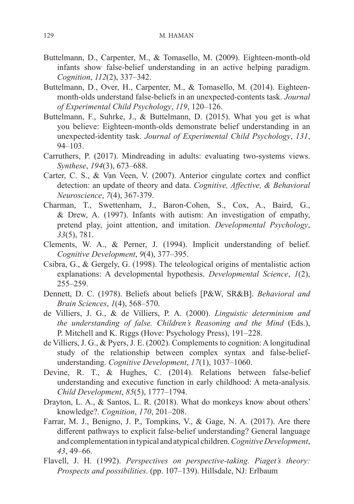- Buttelmann, D., Carpenter, M., & Tomasello, M. (2009). Eighteen-month-old infants show false-belief understanding in an active helping paradigm. *Cognition*, *112*(2), 337–342.
- Buttelmann, D., Over, H., Carpenter, M., & Tomasello, M. (2014). Eighteenmonth-olds understand false-beliefs in an unexpected-contents task. *Journal of Experimental Child Psychology*, *119*, 120–126.
- Buttelmann, F., Suhrke, J., & Buttelmann, D. (2015). What you get is what you believe: Eighteen-month-olds demonstrate belief understanding in an unexpected-identity task. *Journal of Experimental Child Psychology*, *131*, 94–103.
- Carruthers, P. (2017). Mindreading in adults: evaluating two-systems views. *Synthese*, *194*(3), 673–688.
- Carter, C. S., & Van Veen, V. (2007). Anterior cingulate cortex and conflict detection: an update of theory and data. *Cognitive, Affective, & Behavioral Neuroscience*, *7*(4), 367-379.
- Charman, T., Swettenham, J., Baron-Cohen, S., Cox, A., Baird, G., & Drew, A. (1997). Infants with autism: An investigation of empathy, pretend play, joint attention, and imitation. *Developmental Psychology*, *33*(5), 781.
- Clements, W. A., & Perner, J. (1994). Implicit understanding of belief. *Cognitive Development*, *9*(4), 377–395.
- Csibra, G., & Gergely, G. (1998). The teleological origins of mentalistic action explanations: A developmental hypothesis. *Developmental Science*, *1*(2), 255–259.
- Dennett, D. C. (1978). Beliefs about beliefs [P&W, SR&B]. *Behavioral and Brain Sciences*, *1*(4), 568–570.
- de Villiers, J. G., & de Villiers, P. A. (2000). *Linguistic determinism and the understanding of false. Children's Reasoning and the Mind* (Eds.), P. Mitchell and K. Riggs (Hove: Psychology Press), 191–228.
- de Villiers, J. G., & Pyers, J. E. (2002). Complements to cognition: A longitudinal study of the relationship between complex syntax and false-beliefunderstanding. *Cognitive Development*, *17*(1), 1037–1060.
- Devine, R. T., & Hughes, C. (2014). Relations between false-belief understanding and executive function in early childhood: A meta-analysis. *Child Development*, *85*(5), 1777–1794.
- Drayton, L. A., & Santos, L. R. (2018). What do monkeys know about others' knowledge?. *Cognition*, *170*, 201–208.
- Farrar, M. J., Benigno, J. P., Tompkins, V., & Gage, N. A. (2017). Are there different pathways to explicit false-belief understanding? General language and complementation in typical and atypical children. *Cognitive Development*, *43*, 49–66.
- Flavell, J. H. (1992). *Perspectives on perspective-taking. Piaget's theory: Prospects and possibilities*. (pp. 107–139). Hillsdale, NJ: Erlbaum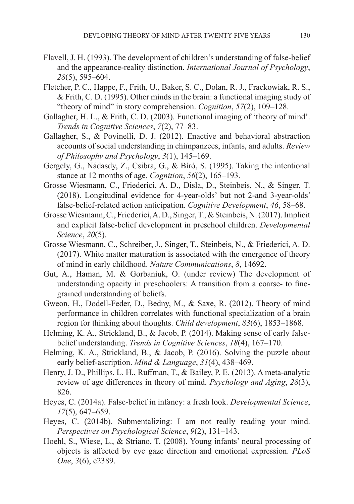- Flavell, J. H. (1993). The development of children's understanding of false-belief and the appearance‐reality distinction. *International Journal of Psychology*, *28*(5), 595–604.
- Fletcher, P. C., Happe, F., Frith, U., Baker, S. C., Dolan, R. J., Frackowiak, R. S., & Frith, C. D. (1995). Other minds in the brain: a functional imaging study of "theory of mind" in story comprehension. *Cognition*, *57*(2), 109–128.
- Gallagher, H. L., & Frith, C. D. (2003). Functional imaging of 'theory of mind'. *Trends in Cognitive Sciences*, *7*(2), 77–83.
- Gallagher, S., & Povinelli, D. J. (2012). Enactive and behavioral abstraction accounts of social understanding in chimpanzees, infants, and adults. *Review of Philosophy and Psychology*, *3*(1), 145–169.
- Gergely, G., Nádasdy, Z., Csibra, G., & Bíró, S. (1995). Taking the intentional stance at 12 months of age. *Cognition*, *56*(2), 165–193.
- Grosse Wiesmann, C., Friederici, A. D., Disla, D., Steinbeis, N., & Singer, T. (2018). Longitudinal evidence for 4-year-olds' but not 2-and 3-year-olds' false-belief-related action anticipation. *Cognitive Development*, *46*, 58–68.
- Grosse Wiesmann, C., Friederici, A. D., Singer, T., & Steinbeis, N. (2017). Implicit and explicit false-belief development in preschool children. *Developmental Science*, *20*(5).
- Grosse Wiesmann, C., Schreiber, J., Singer, T., Steinbeis, N., & Friederici, A. D. (2017). White matter maturation is associated with the emergence of theory of mind in early childhood. *Nature Communications*, *8*, 14692.
- Gut, A., Haman, M. & Gorbaniuk, O. (under review) The development of understanding opacity in preschoolers: A transition from a coarse- to finegrained understanding of beliefs.
- Gweon, H., Dodell‐Feder, D., Bedny, M., & Saxe, R. (2012). Theory of mind performance in children correlates with functional specialization of a brain region for thinking about thoughts. *Child development*, *83*(6), 1853–1868.
- Helming, K. A., Strickland, B., & Jacob, P. (2014). Making sense of early falsebelief understanding. *Trends in Cognitive Sciences*, *18*(4), 167–170.
- Helming, K. A., Strickland, B., & Jacob, P. (2016). Solving the puzzle about early belief‐ascription. *Mind & Language*, *31*(4), 438–469.
- Henry, J. D., Phillips, L. H., Ruffman, T., & Bailey, P. E. (2013). A meta-analytic review of age differences in theory of mind. *Psychology and Aging*, *28*(3), 826.
- Heyes, C. (2014a). False-belief in infancy: a fresh look. *Developmental Science*, *17*(5), 647–659.
- Heyes, C. (2014b). Submentalizing: I am not really reading your mind. *Perspectives on Psychological Science*, *9*(2), 131–143.
- Hoehl, S., Wiese, L., & Striano, T. (2008). Young infants' neural processing of objects is affected by eye gaze direction and emotional expression. *PLoS One*, *3*(6), e2389.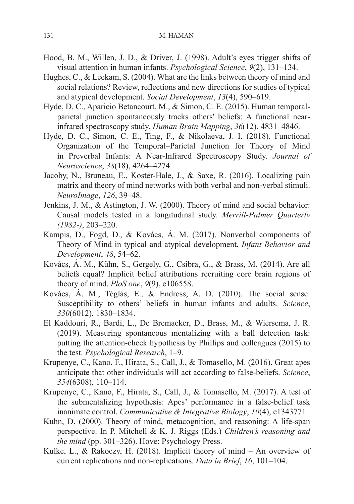- Hood, B. M., Willen, J. D., & Driver, J. (1998). Adult's eyes trigger shifts of visual attention in human infants. *Psychological Science*, *9*(2), 131–134.
- Hughes, C., & Leekam, S. (2004). What are the links between theory of mind and social relations? Review, reflections and new directions for studies of typical and atypical development. *Social Development*, *13*(4), 590–619.
- Hyde, D. C., Aparicio Betancourt, M., & Simon, C. E. (2015). Human temporal‐ parietal junction spontaneously tracks others' beliefs: A functional nearinfrared spectroscopy study. *Human Brain Mapping*, *36*(12), 4831–4846.
- Hyde, D. C., Simon, C. E., Ting, F., & Nikolaeva, J. I. (2018). Functional Organization of the Temporal–Parietal Junction for Theory of Mind in Preverbal Infants: A Near-Infrared Spectroscopy Study. *Journal of Neuroscience*, *38*(18), 4264–4274.
- Jacoby, N., Bruneau, E., Koster-Hale, J., & Saxe, R. (2016). Localizing pain matrix and theory of mind networks with both verbal and non-verbal stimuli. *NeuroImage*, *126*, 39–48.
- Jenkins, J. M., & Astington, J. W. (2000). Theory of mind and social behavior: Causal models tested in a longitudinal study. *Merrill-Palmer Quarterly (1982-)*, 203–220.
- Kampis, D., Fogd, D., & Kovács, Á. M. (2017). Nonverbal components of Theory of Mind in typical and atypical development. *Infant Behavior and Development*, *48*, 54–62.
- Kovács, Á. M., Kühn, S., Gergely, G., Csibra, G., & Brass, M. (2014). Are all beliefs equal? Implicit belief attributions recruiting core brain regions of theory of mind. *PloS one*, *9*(9), e106558.
- Kovács, Á. M., Téglás, E., & Endress, A. D. (2010). The social sense: Susceptibility to others' beliefs in human infants and adults. *Science*, *330*(6012), 1830–1834.
- El Kaddouri, R., Bardi, L., De Bremaeker, D., Brass, M., & Wiersema, J. R. (2019). Measuring spontaneous mentalizing with a ball detection task: putting the attention-check hypothesis by Phillips and colleagues (2015) to the test. *Psychological Research*, 1–9.
- Krupenye, C., Kano, F., Hirata, S., Call, J., & Tomasello, M. (2016). Great apes anticipate that other individuals will act according to false-beliefs. *Science*, *354*(6308), 110–114.
- Krupenye, C., Kano, F., Hirata, S., Call, J., & Tomasello, M. (2017). A test of the submentalizing hypothesis: Apes' performance in a false-belief task inanimate control. *Communicative & Integrative Biology*, *10*(4), e1343771.
- Kuhn, D. (2000). Theory of mind, metacognition, and reasoning: A life-span perspective. In P. Mitchell & K. J. Riggs (Eds.) *Children's reasoning and the mind* (pp. 301–326). Hove: Psychology Press.
- Kulke, L., & Rakoczy, H. (2018). Implicit theory of mind An overview of current replications and non-replications. *Data in Brief*, *16*, 101–104.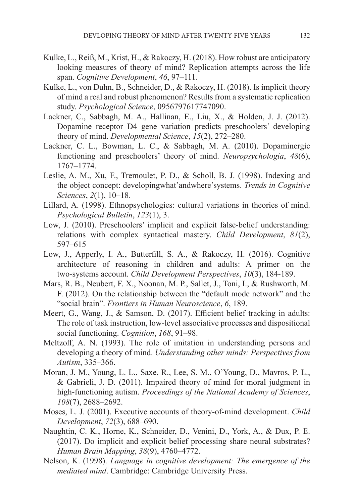- Kulke, L., Reiß, M., Krist, H., & Rakoczy, H. (2018). How robust are anticipatory looking measures of theory of mind? Replication attempts across the life span. *Cognitive Development*, *46*, 97–111.
- Kulke, L., von Duhn, B., Schneider, D., & Rakoczy, H. (2018). Is implicit theory of mind a real and robust phenomenon? Results from a systematic replication study. *Psychological Science*, 0956797617747090.
- Lackner, C., Sabbagh, M. A., Hallinan, E., Liu, X., & Holden, J. J. (2012). Dopamine receptor D4 gene variation predicts preschoolers' developing theory of mind. *Developmental Science*, *15*(2), 272–280.
- Lackner, C. L., Bowman, L. C., & Sabbagh, M. A. (2010). Dopaminergic functioning and preschoolers' theory of mind. *Neuropsychologia*, *48*(6), 1767–1774.
- Leslie, A. M., Xu, F., Tremoulet, P. D., & Scholl, B. J. (1998). Indexing and the object concept: developingwhat'andwhere'systems. *Trends in Cognitive Sciences*, *2*(1), 10–18.
- Lillard, A. (1998). Ethnopsychologies: cultural variations in theories of mind. *Psychological Bulletin*, *123*(1), 3.
- Low, J. (2010). Preschoolers' implicit and explicit false-belief understanding: relations with complex syntactical mastery. *Child Development*, *81*(2), 597–615
- Low, J., Apperly, I. A., Butterfill, S. A., & Rakoczy, H. (2016). Cognitive architecture of reasoning in children and adults: A primer on the two‐systems account. *Child Development Perspectives*, *10*(3), 184-189.
- Mars, R. B., Neubert, F. X., Noonan, M. P., Sallet, J., Toni, I., & Rushworth, M. F. (2012). On the relationship between the "default mode network" and the "social brain". *Frontiers in Human Neuroscience*, *6*, 189.
- Meert, G., Wang, J., & Samson, D. (2017). Efficient belief tracking in adults: The role of task instruction, low-level associative processes and dispositional social functioning. *Cognition*, *168*, 91–98.
- Meltzoff, A. N. (1993). The role of imitation in understanding persons and developing a theory of mind. *Understanding other minds: Perspectives from Autism*, 335–366.
- Moran, J. M., Young, L. L., Saxe, R., Lee, S. M., O'Young, D., Mavros, P. L., & Gabrieli, J. D. (2011). Impaired theory of mind for moral judgment in high-functioning autism. *Proceedings of the National Academy of Sciences*, *108*(7), 2688–2692.
- Moses, L. J. (2001). Executive accounts of theory‐of‐mind development. *Child Development*, *72*(3), 688–690.
- Naughtin, C. K., Horne, K., Schneider, D., Venini, D., York, A., & Dux, P. E. (2017). Do implicit and explicit belief processing share neural substrates? *Human Brain Mapping*, *38*(9), 4760–4772.
- Nelson, K. (1998). *Language in cognitive development: The emergence of the mediated mind*. Cambridge: Cambridge University Press.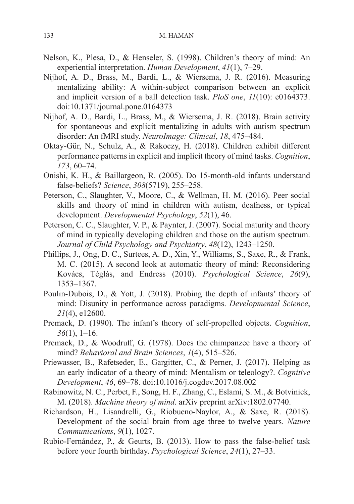- Nelson, K., Plesa, D., & Henseler, S. (1998). Children's theory of mind: An experiential interpretation. *Human Development*, *41*(1), 7–29.
- Nijhof, A. D., Brass, M., Bardi, L., & Wiersema, J. R. (2016). Measuring mentalizing ability: A within-subject comparison between an explicit and implicit version of a ball detection task. *PloS one*, *11*(10): e0164373. doi:10.1371/journal.pone.0164373
- Nijhof, A. D., Bardi, L., Brass, M., & Wiersema, J. R. (2018). Brain activity for spontaneous and explicit mentalizing in adults with autism spectrum disorder: An fMRI study. *NeuroImage: Clinical*, *18*, 475–484.
- Oktay-Gür, N., Schulz, A., & Rakoczy, H. (2018). Children exhibit different performance patterns in explicit and implicit theory of mind tasks. *Cognition*, *173*, 60–74.
- Onishi, K. H., & Baillargeon, R. (2005). Do 15-month-old infants understand false-beliefs? *Science*, *308*(5719), 255–258.
- Peterson, C., Slaughter, V., Moore, C., & Wellman, H. M. (2016). Peer social skills and theory of mind in children with autism, deafness, or typical development. *Developmental Psychology*, *52*(1), 46.
- Peterson, C. C., Slaughter, V. P., & Paynter, J. (2007). Social maturity and theory of mind in typically developing children and those on the autism spectrum. *Journal of Child Psychology and Psychiatry*, *48*(12), 1243–1250.
- Phillips, J., Ong, D. C., Surtees, A. D., Xin, Y., Williams, S., Saxe, R., & Frank, M. C. (2015). A second look at automatic theory of mind: Reconsidering Kovács, Téglás, and Endress (2010). *Psychological Science*, *26*(9), 1353–1367.
- Poulin‐Dubois, D., & Yott, J. (2018). Probing the depth of infants' theory of mind: Disunity in performance across paradigms. *Developmental Science*, *21*(4), e12600.
- Premack, D. (1990). The infant's theory of self-propelled objects. *Cognition*, *36*(1), 1–16.
- Premack, D., & Woodruff, G. (1978). Does the chimpanzee have a theory of mind? *Behavioral and Brain Sciences*, *1*(4), 515–526.
- Priewasser, B., Rafetseder, E., Gargitter, C., & Perner, J. (2017). Helping as an early indicator of a theory of mind: Mentalism or teleology?. *Cognitive Development*, *46*, 69–78. doi:10.1016/j.cogdev.2017.08.002
- Rabinowitz, N. C., Perbet, F., Song, H. F., Zhang, C., Eslami, S. M., & Botvinick, M. (2018). *Machine theory of mind*. arXiv preprint arXiv:1802.07740.
- Richardson, H., Lisandrelli, G., Riobueno-Naylor, A., & Saxe, R. (2018). Development of the social brain from age three to twelve years. *Nature Communications*, *9*(1), 1027.
- Rubio-Fernández, P., & Geurts, B. (2013). How to pass the false-belief task before your fourth birthday. *Psychological Science*, *24*(1), 27–33.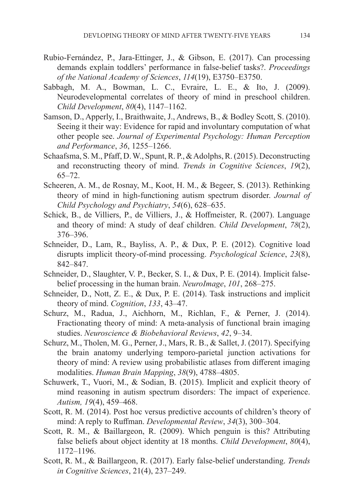- Rubio-Fernández, P., Jara-Ettinger, J., & Gibson, E. (2017). Can processing demands explain toddlers' performance in false-belief tasks?. *Proceedings of the National Academy of Sciences*, *114*(19), E3750–E3750.
- Sabbagh, M. A., Bowman, L. C., Evraire, L. E., & Ito, J. (2009). Neurodevelopmental correlates of theory of mind in preschool children. *Child Development*, *80*(4), 1147–1162.
- Samson, D., Apperly, I., Braithwaite, J., Andrews, B., & Bodley Scott, S. (2010). Seeing it their way: Evidence for rapid and involuntary computation of what other people see. *Journal of Experimental Psychology: Human Perception and Performance*, *36*, 1255–1266.
- Schaafsma, S. M., Pfaff, D. W., Spunt, R. P., & Adolphs, R. (2015). Deconstructing and reconstructing theory of mind. *Trends in Cognitive Sciences*, *19*(2), 65–72.
- Scheeren, A. M., de Rosnay, M., Koot, H. M., & Begeer, S. (2013). Rethinking theory of mind in high‐functioning autism spectrum disorder. *Journal of Child Psychology and Psychiatry*, *54*(6), 628–635.
- Schick, B., de Villiers, P., de Villiers, J., & Hoffmeister, R. (2007). Language and theory of mind: A study of deaf children. *Child Development*, *78*(2), 376–396.
- Schneider, D., Lam, R., Bayliss, A. P., & Dux, P. E. (2012). Cognitive load disrupts implicit theory-of-mind processing. *Psychological Science*, *23*(8), 842–847.
- Schneider, D., Slaughter, V. P., Becker, S. I., & Dux, P. E. (2014). Implicit falsebelief processing in the human brain. *NeuroImage*, *101*, 268–275.
- Schneider, D., Nott, Z. E., & Dux, P. E. (2014). Task instructions and implicit theory of mind. *Cognition*, *133*, 43–47.
- Schurz, M., Radua, J., Aichhorn, M., Richlan, F., & Perner, J. (2014). Fractionating theory of mind: A meta-analysis of functional brain imaging studies. *Neuroscience & Biobehavioral Reviews*, *42*, 9–34.
- Schurz, M., Tholen, M. G., Perner, J., Mars, R. B., & Sallet, J. (2017). Specifying the brain anatomy underlying temporo-parietal junction activations for theory of mind: A review using probabilistic atlases from different imaging modalities. *Human Brain Mapping*, *38*(9), 4788–4805.
- Schuwerk, T., Vuori, M., & Sodian, B. (2015). Implicit and explicit theory of mind reasoning in autism spectrum disorders: The impact of experience. *Autism, 19*(4), 459–468.
- Scott, R. M. (2014). Post hoc versus predictive accounts of children's theory of mind: A reply to Ruffman. *Developmental Review*, *34*(3), 300–304.
- Scott, R. M., & Baillargeon, R. (2009). Which penguin is this? Attributing false beliefs about object identity at 18 months. *Child Development*, *80*(4), 1172–1196.
- Scott, R. M., & Baillargeon, R. (2017). Early false-belief understanding. *Trends in Cognitive Sciences*, 21(4), 237–249.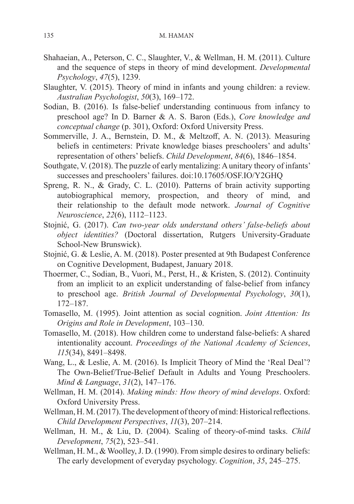- Shahaeian, A., Peterson, C. C., Slaughter, V., & Wellman, H. M. (2011). Culture and the sequence of steps in theory of mind development. *Developmental Psychology*, *47*(5), 1239.
- Slaughter, V. (2015). Theory of mind in infants and young children: a review. *Australian Psychologist*, *50*(3), 169–172.
- Sodian, B. (2016). Is false-belief understanding continuous from infancy to preschool age? In D. Barner & A. S. Baron (Eds.), *Core knowledge and conceptual change* (p. 301), Oxford: Oxford University Press.
- Sommerville, J. A., Bernstein, D. M., & Meltzoff, A. N. (2013). Measuring beliefs in centimeters: Private knowledge biases preschoolers' and adults' representation of others' beliefs. *Child Development*, *84*(6), 1846–1854.
- Southgate, V. (2018). The puzzle of early mentalizing: A unitary theory of infants' successes and preschoolers' failures. doi:10.17605/OSF.IO/Y2GHQ
- Spreng, R. N., & Grady, C. L. (2010). Patterns of brain activity supporting autobiographical memory, prospection, and theory of mind, and their relationship to the default mode network. *Journal of Cognitive Neuroscience*, *22*(6), 1112–1123.
- Stojnić, G. (2017). *Can two-year olds understand others' false-beliefs about object identities?* (Doctoral dissertation, Rutgers University-Graduate School-New Brunswick).
- Stojnić, G. & Leslie, A. M. (2018). Poster presented at 9th Budapest Conference on Cognitive Development, Budapest, January 2018.
- Thoermer, C., Sodian, B., Vuori, M., Perst, H., & Kristen, S. (2012). Continuity from an implicit to an explicit understanding of false-belief from infancy to preschool age. *British Journal of Developmental Psychology*, *30*(1), 172–187.
- Tomasello, M. (1995). Joint attention as social cognition. *Joint Attention: Its Origins and Role in Development*, 103–130.
- Tomasello, M. (2018). How children come to understand false-beliefs: A shared intentionality account. *Proceedings of the National Academy of Sciences*, *115*(34), 8491–8498.
- Wang, L., & Leslie, A. M. (2016). Is Implicit Theory of Mind the 'Real Deal'? The Own‐Belief/True‐Belief Default in Adults and Young Preschoolers. *Mind & Language*, *31*(2), 147–176.
- Wellman, H. M. (2014). *Making minds: How theory of mind develops*. Oxford: Oxford University Press.
- Wellman, H. M. (2017). The development of theory of mind: Historical reflections. *Child Development Perspectives*, *11*(3), 207–214.
- Wellman, H. M., & Liu, D. (2004). Scaling of theory‐of‐mind tasks. *Child Development*, *75*(2), 523–541.
- Wellman, H. M., & Woolley, J. D. (1990). From simple desires to ordinary beliefs: The early development of everyday psychology. *Cognition*, *35*, 245–275.